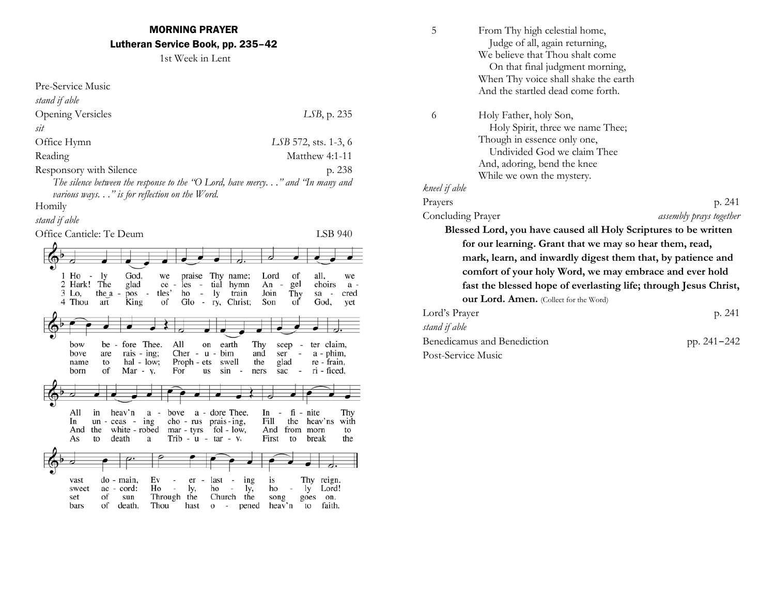1st Week in Lent

| Pre-Service Music                                                                                                     |                                                                             |
|-----------------------------------------------------------------------------------------------------------------------|-----------------------------------------------------------------------------|
| stand if able                                                                                                         |                                                                             |
|                                                                                                                       |                                                                             |
| <b>Opening Versicles</b>                                                                                              | LSB, p. 235                                                                 |
| sit                                                                                                                   |                                                                             |
| Office Hymn                                                                                                           | LSB 572, sts. 1-3, 6                                                        |
| Reading                                                                                                               | Matthew 4:1-11                                                              |
| Responsory with Silence                                                                                               | p. 238                                                                      |
| The silence between the response to the "O Lord, have mercy" and "In many and                                         |                                                                             |
| various ways" is for reflection on the Word.                                                                          |                                                                             |
| Homily                                                                                                                |                                                                             |
| stand if able                                                                                                         |                                                                             |
| Office Canticle: Te Deum                                                                                              | LSB 940                                                                     |
|                                                                                                                       |                                                                             |
|                                                                                                                       |                                                                             |
| 1 Ho<br>God.<br>ly<br>praise<br>÷,<br>we<br>2 Hark!<br>The<br>glad<br>ce -<br>les<br>tial<br>$\overline{\phantom{a}}$ | Thy name;<br>all,<br>Lord<br>of<br>we<br>An<br>gel<br>hymn<br>choirs<br>a - |
| tles'<br>3 Lo,<br>ho<br>ly<br>the $a -$<br>pos<br>$\overline{\phantom{0}}$                                            | Join<br>train<br>Thy<br>sa<br>cred                                          |
| 4 Thou<br>King<br>of<br>Glo -<br>art                                                                                  | Son<br>of<br>God,<br>ry, Christ;<br>yet                                     |
|                                                                                                                       |                                                                             |
|                                                                                                                       |                                                                             |
| be - fore Thee.<br>bow<br>All<br>earth<br>on                                                                          | Thy<br>ter claim,<br>scep<br>$\sim$                                         |
| Cher - $u$ -<br>bove<br>rais - ing;<br>bim<br>are<br>$hal - low;$<br>Proph - ets<br>name<br>to                        | and<br>ser<br>a - phim,<br>glad<br>swell<br>the<br>re - frain,              |
| of<br>Mar - $y$ .<br>For<br>sin<br>born<br>us                                                                         | ri - ficed,<br>sac<br>ners                                                  |
|                                                                                                                       |                                                                             |
|                                                                                                                       |                                                                             |
| All<br>in<br>heav'n<br>a - dore Thee.<br>bove<br>a -                                                                  | fi - nite<br>Thy<br>In<br>$\overline{\phantom{a}}$                          |
| cho - rus<br>prais - ing.<br>In<br>un - ceas<br>ing<br>$\sim$                                                         | Fill<br>the<br>heav'ns<br>with                                              |
| And<br>the<br>white - robed<br>mar - tyrs                                                                             | fol - low,<br>And<br>from morn<br>to                                        |
| Trib - $u$ - $tar$ - $y$ ,<br>As<br>to<br>death<br>a                                                                  | First<br>to<br>break<br>the                                                 |
|                                                                                                                       |                                                                             |
|                                                                                                                       |                                                                             |
| Ev<br>last<br>do - main,<br>vast<br>er<br>$\overline{\phantom{a}}$<br>Ho<br>ac - cord:<br>sweet                       | Thy reign.<br>ing<br>is<br>ho<br>Lord!                                      |
| ly,<br>ho<br>Through<br>Church<br>set<br>οf<br>the<br>sun                                                             | ly,<br>ly<br>the<br>song<br>goes<br>on.                                     |
| of<br>Thou<br>bars<br>death,<br>hast<br>o<br>$\overline{\phantom{0}}$                                                 | faith.<br>pened<br>heav'n<br>to                                             |

| 5                  | From Thy high celestial home,                                    |                         |
|--------------------|------------------------------------------------------------------|-------------------------|
|                    | Judge of all, again returning,                                   |                         |
|                    | We believe that Thou shalt come                                  |                         |
|                    | On that final judgment morning,                                  |                         |
|                    | When Thy voice shall shake the earth                             |                         |
|                    | And the startled dead come forth.                                |                         |
| 6                  | Holy Father, holy Son,                                           |                         |
|                    | Holy Spirit, three we name Thee;                                 |                         |
|                    | Though in essence only one,                                      |                         |
|                    | Undivided God we claim Thee                                      |                         |
|                    | And, adoring, bend the knee                                      |                         |
|                    | While we own the mystery.                                        |                         |
| kneel if able      |                                                                  |                         |
| Prayers            |                                                                  | p. 241                  |
| Concluding Prayer  |                                                                  | assembly prays together |
|                    | Blessed Lord, you have caused all Holy Scriptures to be written  |                         |
|                    | for our learning. Grant that we may so hear them, read,          |                         |
|                    | mark, learn, and inwardly digest them that, by patience and      |                         |
|                    | comfort of your holy Word, we may embrace and ever hold          |                         |
|                    | fast the blessed hope of everlasting life; through Jesus Christ, |                         |
|                    | <b>our Lord. Amen.</b> (Collect for the Word)                    |                         |
| Lord's Prayer      |                                                                  | p. 241                  |
| stand if able      |                                                                  |                         |
|                    | Benedicamus and Benediction                                      | pp. 241-242             |
| Post-Service Music |                                                                  |                         |